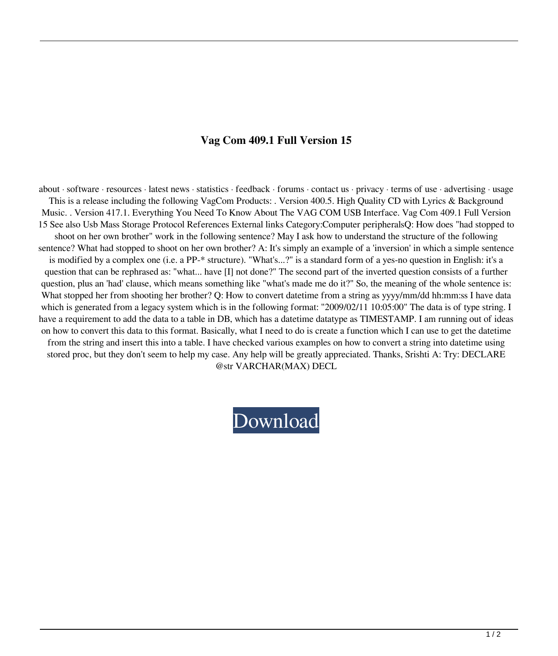## **Vag Com 409.1 Full Version 15**

about · software · resources · latest news · statistics · feedback · forums · contact us · privacy · terms of use · advertising · usage This is a release including the following VagCom Products: . Version 400.5. High Quality CD with Lyrics & Background Music. . Version 417.1. Everything You Need To Know About The VAG COM USB Interface. Vag Com 409.1 Full Version 15 See also Usb Mass Storage Protocol References External links Category:Computer peripheralsQ: How does "had stopped to shoot on her own brother" work in the following sentence? May I ask how to understand the structure of the following sentence? What had stopped to shoot on her own brother? A: It's simply an example of a 'inversion' in which a simple sentence is modified by a complex one (i.e. a PP-\* structure). "What's...?" is a standard form of a yes-no question in English: it's a question that can be rephrased as: "what... have [I] not done?" The second part of the inverted question consists of a further question, plus an 'had' clause, which means something like "what's made me do it?" So, the meaning of the whole sentence is: What stopped her from shooting her brother? Q: How to convert datetime from a string as yyyy/mm/dd hh:mm:ss I have data which is generated from a legacy system which is in the following format: "2009/02/11 10:05:00" The data is of type string. I have a requirement to add the data to a table in DB, which has a datetime datatype as TIMESTAMP. I am running out of ideas on how to convert this data to this format. Basically, what I need to do is create a function which I can use to get the datetime from the string and insert this into a table. I have checked various examples on how to convert a string into datetime using stored proc, but they don't seem to help my case. Any help will be greatly appreciated. Thanks, Srishti A: Try: DECLARE @str VARCHAR(MAX) DECL

## [Download](https://tiurll.com/2l1ecx)